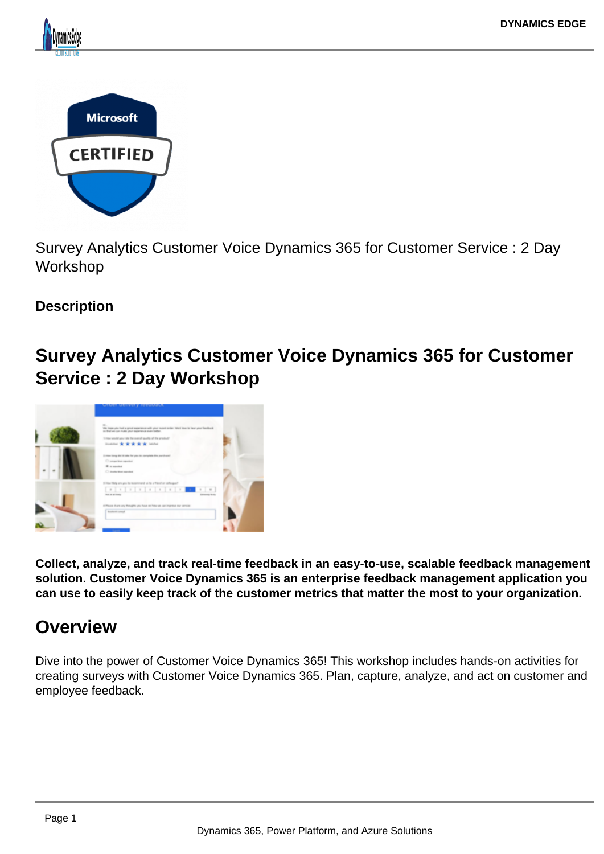



Survey Analytics Customer Voice Dynamics 365 for Customer Service : 2 Day **Workshop** 

## **Description**

# **Survey Analytics Customer Voice Dynamics 365 for Customer Service : 2 Day Workshop**



**Collect, analyze, and track real-time feedback in an easy-to-use, scalable feedback management solution. Customer Voice Dynamics 365 is an enterprise feedback management application you can use to easily keep track of the customer metrics that matter the most to your organization.**

# **Overview**

Dive into the power of Customer Voice Dynamics 365! This workshop includes hands-on activities for creating surveys with Customer Voice Dynamics 365. Plan, capture, analyze, and act on customer and employee feedback.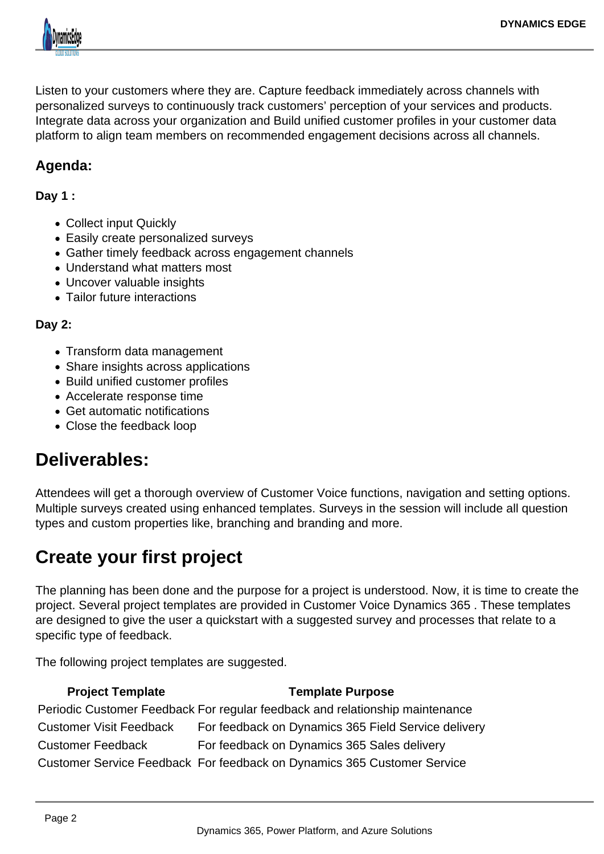

Listen to your customers where they are. Capture feedback immediately across channels with personalized surveys to continuously track customers' perception of your services and products. Integrate data across your organization and Build unified customer profiles in your customer data platform to align team members on recommended engagement decisions across all channels.

## **Agenda:**

### **Day 1 :**

- Collect input Quickly
- Easily create personalized surveys
- Gather timely feedback across engagement channels
- Understand what matters most
- Uncover valuable insights
- Tailor future interactions

### **Day 2:**

- Transform data management
- Share insights across applications
- Build unified customer profiles
- Accelerate response time
- Get automatic notifications
- Close the feedback loop

## **Deliverables:**

Attendees will get a thorough overview of Customer Voice functions, navigation and setting options. Multiple surveys created using enhanced templates. Surveys in the session will include all question types and custom properties like, branching and branding and more.

## **Create your first project**

The planning has been done and the purpose for a project is understood. Now, it is time to create the project. Several project templates are provided in Customer Voice Dynamics 365 . These templates are designed to give the user a quickstart with a suggested survey and processes that relate to a specific type of feedback.

The following project templates are suggested.

#### **Project Template Template Purpose**

Periodic Customer Feedback For regular feedback and relationship maintenance Customer Visit Feedback For feedback on Dynamics 365 Field Service delivery Customer Feedback For feedback on Dynamics 365 Sales delivery Customer Service Feedback For feedback on Dynamics 365 Customer Service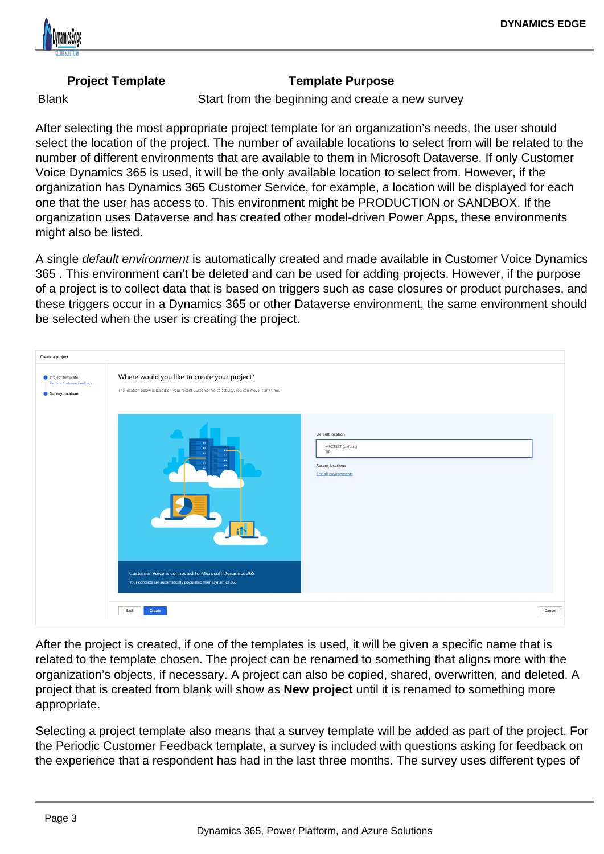### Project Template Template Template Purpose

Blank **Start from the beginning and create a new survey** 

After selecting the most appropriate project template for an organization's needs, the user should select the location of the project. The number of available locations to select from will be related to the number of different environments that are available to them in Microsoft Dataverse. If only Customer Voice Dynamics 365 is used, it will be the only available location to select from. However, if the organization has Dynamics 365 Customer Service, for example, a location will be displayed for each one that the user has access to. This environment might be PRODUCTION or SANDBOX. If the organization uses Dataverse and has created other model-driven Power Apps, these environments might also be listed.

A single default environment is automatically created and made available in Customer Voice Dynamics 365 . This environment can't be deleted and can be used for adding projects. However, if the purpose of a project is to collect data that is based on triggers such as case closures or product purchases, and these triggers occur in a Dynamics 365 or other Dataverse environment, the same environment should be selected when the user is creating the project.

After the project is created, if one of the templates is used, it will be given a specific name that is related to the template chosen. The project can be renamed to something that aligns more with the organization's objects, if necessary. A project can also be copied, shared, overwritten, and deleted. A project that is created from blank will show as New project until it is renamed to something more appropriate.

Selecting a project template also means that a survey template will be added as part of the project. For the Periodic Customer Feedback template, a survey is included with questions asking for feedback on the experience that a respondent has had in the last three months. The survey uses different types of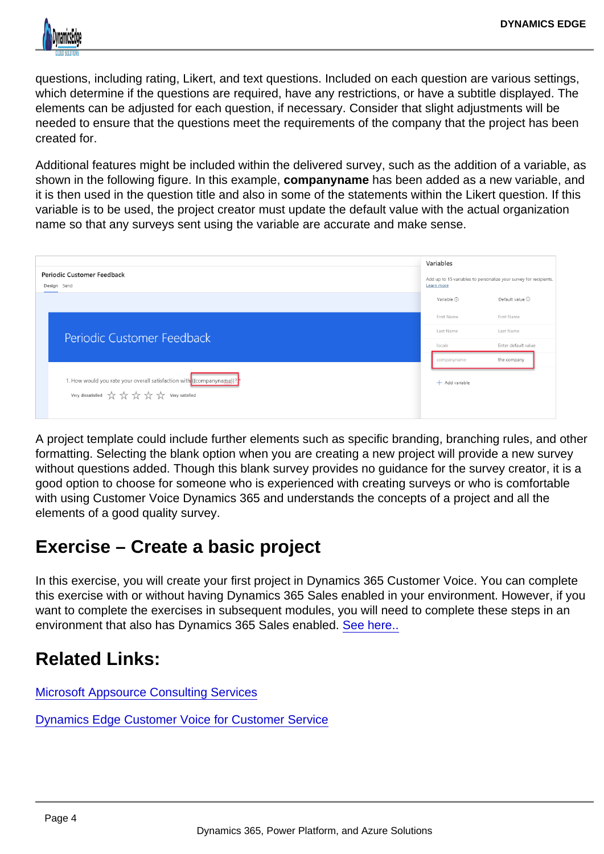questions, including rating, Likert, and text questions. Included on each question are various settings, which determine if the questions are required, have any restrictions, or have a subtitle displayed. The elements can be adjusted for each question, if necessary. Consider that slight adjustments will be needed to ensure that the questions meet the requirements of the company that the project has been created for.

Additional features might be included within the delivered survey, such as the addition of a variable, as shown in the following figure. In this example, companyname has been added as a new variable, and it is then used in the question title and also in some of the statements within the Likert question. If this variable is to be used, the project creator must update the default value with the actual organization name so that any surveys sent using the variable are accurate and make sense.

A project template could include further elements such as specific branding, branching rules, and other formatting. Selecting the blank option when you are creating a new project will provide a new survey without questions added. Though this blank survey provides no guidance for the survey creator, it is a good option to choose for someone who is experienced with creating surveys or who is comfortable with using Customer Voice Dynamics 365 and understands the concepts of a project and all the elements of a good quality survey.

# Exercise – Create a basic project

In this exercise, you will create your first project in Dynamics 365 Customer Voice. You can complete this exercise with or without having Dynamics 365 Sales enabled in your environment. However, if you want to complete the exercises in subsequent modules, you will need to complete these steps in an environment that also has Dynamics 365 Sales enabled. [See here..](https://docs.microsoft.com/en-us/learn/modules/work-customer-voice-projects/3-5-exercise-create-project)

## Related Links:

[Microsoft Appsource Consulting Services](https://appsource.microsoft.com/en-us/marketplace/consulting-services/dynamicsedge.customervoice-survey-analyticsd365-cs-2dayworkshop?search=Customer Voice Dynamics 365 Analytics Sales&page=1)

[Dynamics Edge Customer Voice for Customer Service](https://query.prod.cms.rt.microsoft.com/cms/api/am/binary/RWJJ9v)